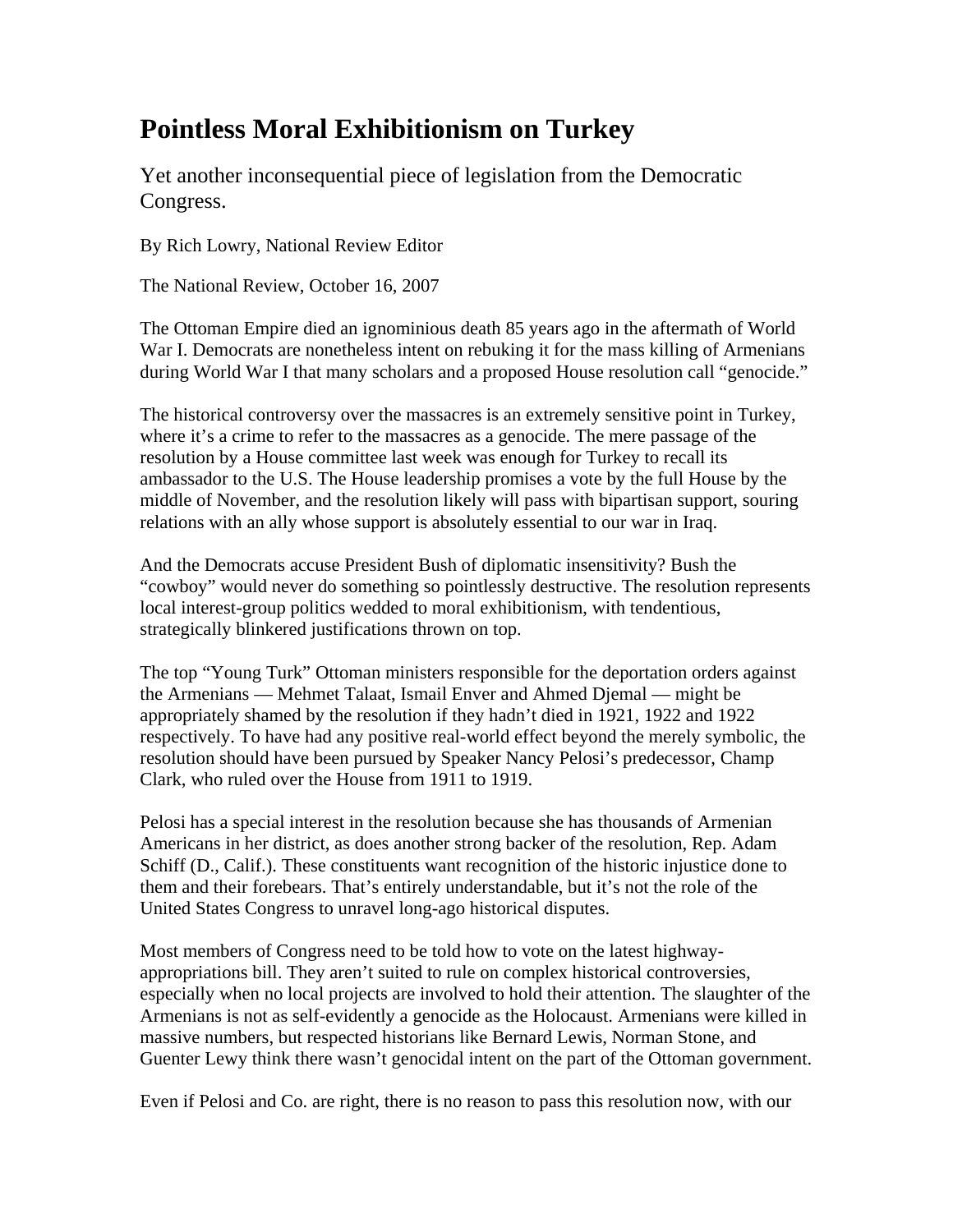## **Pointless Moral Exhibitionism on Turkey**

Yet another inconsequential piece of legislation from the Democratic Congress.

By Rich Lowry, National Review Editor

The National Review, October 16, 2007

The Ottoman Empire died an ignominious death 85 years ago in the aftermath of World War I. Democrats are nonetheless intent on rebuking it for the mass killing of Armenians during World War I that many scholars and a proposed House resolution call "genocide."

The historical controversy over the massacres is an extremely sensitive point in Turkey, where it's a crime to refer to the massacres as a genocide. The mere passage of the resolution by a House committee last week was enough for Turkey to recall its ambassador to the U.S. The House leadership promises a vote by the full House by the middle of November, and the resolution likely will pass with bipartisan support, souring relations with an ally whose support is absolutely essential to our war in Iraq.

And the Democrats accuse President Bush of diplomatic insensitivity? Bush the "cowboy" would never do something so pointlessly destructive. The resolution represents local interest-group politics wedded to moral exhibitionism, with tendentious, strategically blinkered justifications thrown on top.

The top "Young Turk" Ottoman ministers responsible for the deportation orders against the Armenians — Mehmet Talaat, Ismail Enver and Ahmed Djemal — might be appropriately shamed by the resolution if they hadn't died in 1921, 1922 and 1922 respectively. To have had any positive real-world effect beyond the merely symbolic, the resolution should have been pursued by Speaker Nancy Pelosi's predecessor, Champ Clark, who ruled over the House from 1911 to 1919.

Pelosi has a special interest in the resolution because she has thousands of Armenian Americans in her district, as does another strong backer of the resolution, Rep. Adam Schiff (D., Calif.). These constituents want recognition of the historic injustice done to them and their forebears. That's entirely understandable, but it's not the role of the United States Congress to unravel long-ago historical disputes.

Most members of Congress need to be told how to vote on the latest highwayappropriations bill. They aren't suited to rule on complex historical controversies, especially when no local projects are involved to hold their attention. The slaughter of the Armenians is not as self-evidently a genocide as the Holocaust. Armenians were killed in massive numbers, but respected historians like Bernard Lewis, Norman Stone, and Guenter Lewy think there wasn't genocidal intent on the part of the Ottoman government.

Even if Pelosi and Co. are right, there is no reason to pass this resolution now, with our